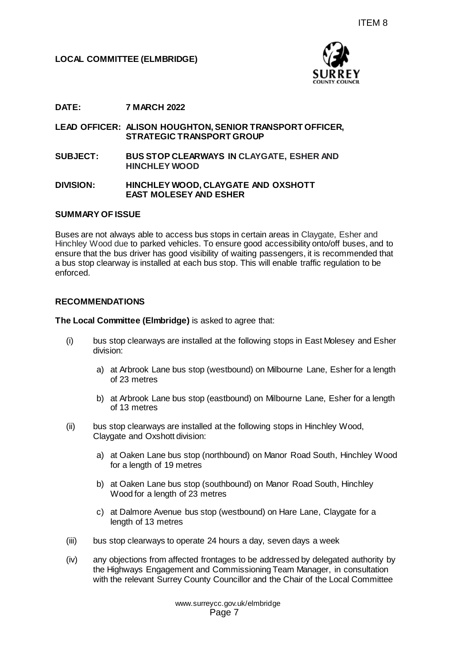

## **DATE: 7 MARCH 2022**

#### **LEAD OFFICER: ALISON HOUGHTON, SENIOR TRANSPORT OFFICER, STRATEGIC TRANSPORT GROUP**

**SUBJECT: BUS STOP CLEARWAYS IN CLAYGATE, ESHER AND HINCHLEY WOOD**

#### **DIVISION: HINCHLEY WOOD, CLAYGATE AND OXSHOTT EAST MOLESEY AND ESHER**

#### **SUMMARY OF ISSUE**

Buses are not always able to access bus stops in certain areas in Claygate, Esher and Hinchley Wood due to parked vehicles. To ensure good accessibility onto/off buses, and to ensure that the bus driver has good visibility of waiting passengers, it is recommended that a bus stop clearway is installed at each bus stop. This will enable traffic regulation to be enforced. ITEM 8<br>
SURREY<br>
SURREY<br>
SURREY<br>
NORT GROUP<br>
ANYS IN CLAYGATE, ESHER AND<br>
NAYS IN CLAYGATE, ESHER AND<br>
NAYS IN CLAYGATE, ESHER AND<br>
LAYGATE AND OXSHOTT<br>
ESHER<br>
stops in certain areas in Claygate, Esher and<br>
one only go deco

#### **RECOMMENDATIONS**

**The Local Committee (Elmbridge)** is asked to agree that:

- (i) bus stop clearways are installed at the following stops in East Molesey and Esher division:
	- a) at Arbrook Lane bus stop (westbound) on Milbourne Lane, Esher for a length of 23 metres
	- b) at Arbrook Lane bus stop (eastbound) on Milbourne Lane, Esher for a length of 13 metres
- (ii) bus stop clearways are installed at the following stops in Hinchley Wood, Claygate and Oxshott division:
	- a) at Oaken Lane bus stop (northbound) on Manor Road South, Hinchley Wood for a length of 19 metres
	- b) at Oaken Lane bus stop (southbound) on Manor Road South, Hinchley Wood for a length of 23 metres
	- c) at Dalmore Avenue bus stop (westbound) on Hare Lane, Claygate for a length of 13 metres
- (iii) bus stop clearways to operate 24 hours a day, seven days a week
- (iv) any objections from affected frontages to be addressed by delegated authority by the Highways Engagement and Commissioning Team Manager, in consultation with the relevant Surrey County Councillor and the Chair of the Local Committee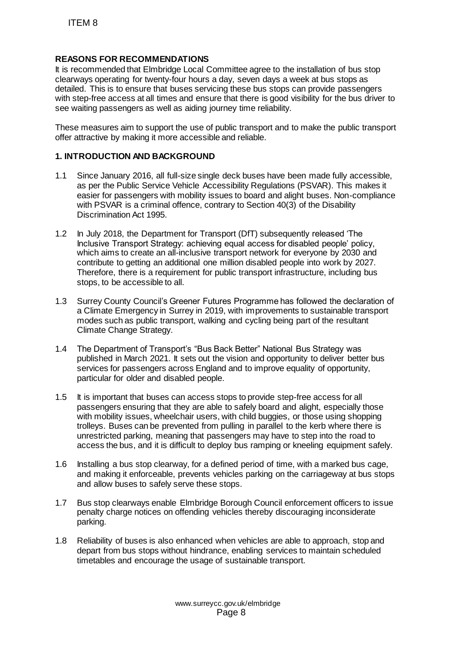# **REASONS FOR RECOMMENDATIONS**

It is recommended that Elmbridge Local Committee agree to the installation of bus stop clearways operating for twenty-four hours a day, seven days a week at bus stops as detailed. This is to ensure that buses servicing these bus stops can provide passengers with step-free access at all times and ensure that there is good visibility for the bus driver to see waiting passengers as well as aiding journey time reliability.

These measures aim to support the use of public transport and to make the public transport offer attractive by making it more accessible and reliable.

## **1. INTRODUCTION AND BACKGROUND**

- 1.1 Since January 2016, all full-size single deck buses have been made fully accessible, as per the Public Service Vehicle Accessibility Regulations (PSVAR). This makes it easier for passengers with mobility issues to board and alight buses. Non-compliance with PSVAR is a criminal offence, contrary to Section 40(3) of the Disability Discrimination Act 1995.
- 1.2 In July 2018, the Department for Transport (DfT) subsequently released 'The Inclusive Transport Strategy: achieving equal access for disabled people' policy, which aims to create an all-inclusive transport network for everyone by 2030 and contribute to getting an additional one million disabled people into work by 2027. Therefore, there is a requirement for public transport infrastructure, including bus stops, to be accessible to all. ITEM 8<br>
ASONS FOR RECOMMENDATIONS<br>
recommended that Elmbridge Local Committee<br>
recommended that Elmbridge Local Committee<br>
alsele. This is to ensure that thuses serveing these<br>
step-free access at all times and ensure that
- 1.3 Surrey County Council's Greener Futures Programme has followed the declaration of a Climate Emergency in Surrey in 2019, with improvements to sustainable transport modes such as public transport, walking and cycling being part of the resultant Climate Change Strategy.
- 1.4 The Department of Transport's "Bus Back Better" National Bus Strategy was published in March 2021. It sets out the vision and opportunity to deliver better bus services for passengers across England and to improve equality of opportunity, particular for older and disabled people.
- 1.5 It is important that buses can access stops to provide step-free access for all passengers ensuring that they are able to safely board and alight, especially those with mobility issues, wheelchair users, with child buggies, or those using shopping trolleys. Buses can be prevented from pulling in parallel to the kerb where there is unrestricted parking, meaning that passengers may have to step into the road to access the bus, and it is difficult to deploy bus ramping or kneeling equipment safely.
- 1.6 Installing a bus stop clearway, for a defined period of time, with a marked bus cage, and making it enforceable, prevents vehicles parking on the carriageway at bus stops and allow buses to safely serve these stops.
- 1.7 Bus stop clearways enable Elmbridge Borough Council enforcement officers to issue penalty charge notices on offending vehicles thereby discouraging inconsiderate parking.
- 1.8 Reliability of buses is also enhanced when vehicles are able to approach, stop and depart from bus stops without hindrance, enabling services to maintain scheduled timetables and encourage the usage of sustainable transport.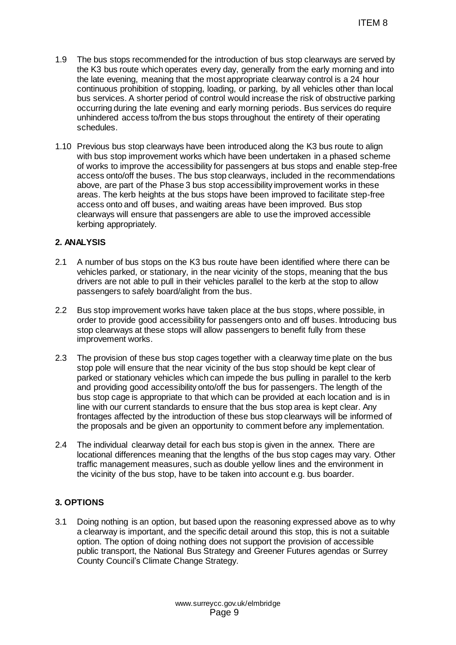- 1.9 The bus stops recommended for the introduction of bus stop clearways are served by the K3 bus route which operates every day, generally from the early morning and into the late evening, meaning that the most appropriate clearway control is a 24 hour continuous prohibition of stopping, loading, or parking, by all vehicles other than local bus services. A shorter period of control would increase the risk of obstructive parking occurring during the late evening and early morning periods. Bus services do require unhindered access to/from the bus stops throughout the entirety of their operating schedules.
- 1.10 Previous bus stop clearways have been introduced along the K3 bus route to align with bus stop improvement works which have been undertaken in a phased scheme of works to improve the accessibility for passengers at bus stops and enable step-free access onto/off the buses. The bus stop clearways, included in the recommendations above, are part of the Phase 3 bus stop accessibility improvement works in these areas. The kerb heights at the bus stops have been improved to facilitate step-free access onto and off buses, and waiting areas have been improved. Bus stop clearways will ensure that passengers are able to use the improved accessible kerbing appropriately. ITEM 8<br>
introduction of bus stop clearways are served<br>
eny day, generally from the early moming and in<br>
onst appropriate clearway control is a 24 hour<br>
constring of parking, by all vehicles other than loc-<br>
through devity

## **2. ANALYSIS**

- 2.1 A number of bus stops on the K3 bus route have been identified where there can be vehicles parked, or stationary, in the near vicinity of the stops, meaning that the bus drivers are not able to pull in their vehicles parallel to the kerb at the stop to allow passengers to safely board/alight from the bus.
- 2.2 Bus stop improvement works have taken place at the bus stops, where possible, in order to provide good accessibility for passengers onto and off buses. Introducing bus stop clearways at these stops will allow passengers to benefit fully from these improvement works.
- 2.3 The provision of these bus stop cages together with a clearway time plate on the bus stop pole will ensure that the near vicinity of the bus stop should be kept clear of parked or stationary vehicles which can impede the bus pulling in parallel to the kerb and providing good accessibility onto/off the bus for passengers. The length of the bus stop cage is appropriate to that which can be provided at each location and is in line with our current standards to ensure that the bus stop area is kept clear. Any frontages affected by the introduction of these bus stop clearways will be informed of the proposals and be given an opportunity to comment before any implementation.
- 2.4 The individual clearway detail for each bus stop is given in the annex. There are locational differences meaning that the lengths of the bus stop cages may vary. Other traffic management measures, such as double yellow lines and the environment in the vicinity of the bus stop, have to be taken into account e.g. bus boarder.

# **3. OPTIONS**

3.1 Doing nothing is an option, but based upon the reasoning expressed above as to why a clearway is important, and the specific detail around this stop, this is not a suitable option. The option of doing nothing does not support the provision of accessible public transport, the National Bus Strategy and Greener Futures agendas or Surrey County Council's Climate Change Strategy.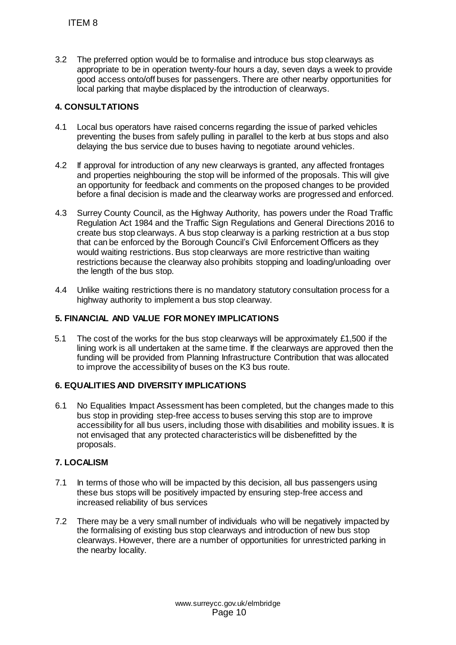3.2 The preferred option would be to formalise and introduce bus stop clearways as appropriate to be in operation twenty-four hours a day, seven days a week to provide good access onto/off buses for passengers. There are other nearby opportunities for local parking that maybe displaced by the introduction of clearways.

# **4. CONSULTATIONS**

- 4.1 Local bus operators have raised concerns regarding the issue of parked vehicles preventing the buses from safely pulling in parallel to the kerb at bus stops and also delaying the bus service due to buses having to negotiate around vehicles.
- 4.2 If approval for introduction of any new clearways is granted, any affected frontages and properties neighbouring the stop will be informed of the proposals. This will give an opportunity for feedback and comments on the proposed changes to be provided before a final decision is made and the clearway works are progressed and enforced.
- 4.3 Surrey County Council, as the Highway Authority, has powers under the Road Traffic Regulation Act 1984 and the Traffic Sign Regulations and General Directions 2016 to create bus stop clearways. A bus stop clearway is a parking restriction at a bus stop that can be enforced by the Borough Council's Civil Enforcement Officers as they would waiting restrictions. Bus stop clearways are more restrictive than waiting restrictions because the clearway also prohibits stopping and loading/unloading over the length of the bus stop. ITEM 8<br>
The preferred option would be to formalise an<br>appropriate to be in operation twenty-four hou<br>good access onto/off buses for passengers. T<br>
cocal parking that maybe displaced by the intro<br>
CONSULTATIONS<br>
LOCAL buses
- 4.4 Unlike waiting restrictions there is no mandatory statutory consultation process for a highway authority to implement a bus stop clearway.

## **5. FINANCIAL AND VALUE FOR MONEY IMPLICATIONS**

5.1 The cost of the works for the bus stop clearways will be approximately £1,500 if the lining work is all undertaken at the same time. If the clearways are approved then the funding will be provided from Planning Infrastructure Contribution that was allocated to improve the accessibility of buses on the K3 bus route.

# **6. EQUALITIES AND DIVERSITY IMPLICATIONS**

6.1 No Equalities Impact Assessment has been completed, but the changes made to this bus stop in providing step-free access to buses serving this stop are to improve accessibility for all bus users, including those with disabilities and mobility issues. It is not envisaged that any protected characteristics will be disbenefitted by the proposals.

# **7. LOCALISM**

- 7.1 In terms of those who will be impacted by this decision, all bus passengers using these bus stops will be positively impacted by ensuring step-free access and increased reliability of bus services
- 7.2 There may be a very small number of individuals who will be negatively impacted by the formalising of existing bus stop clearways and introduction of new bus stop clearways. However, there are a number of opportunities for unrestricted parking in the nearby locality.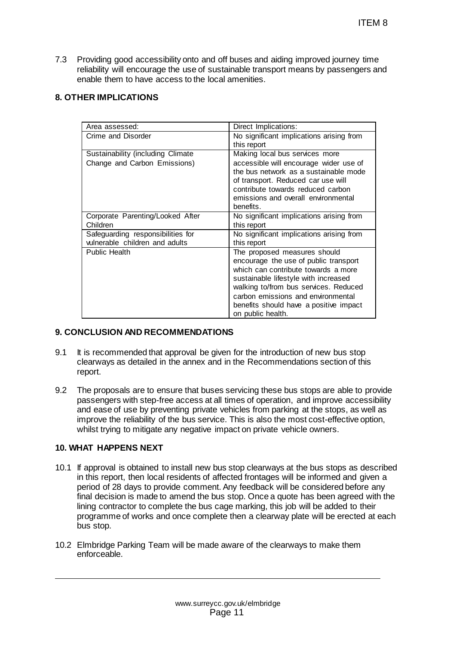7.3 Providing good accessibility onto and off buses and aiding improved journey time reliability will encourage the use of sustainable transport means by passengers and enable them to have access to the local amenities.

## **8. OTHER IMPLICATIONS**

|                                                                                                                                                                                                                                                                                                                                                                                                                                                                                                                                         | ITEM 8                                                                                                                                                                                                                                                                                                                                                      |
|-----------------------------------------------------------------------------------------------------------------------------------------------------------------------------------------------------------------------------------------------------------------------------------------------------------------------------------------------------------------------------------------------------------------------------------------------------------------------------------------------------------------------------------------|-------------------------------------------------------------------------------------------------------------------------------------------------------------------------------------------------------------------------------------------------------------------------------------------------------------------------------------------------------------|
| roviding good accessibility onto and off buses and aiding improved journey time<br>eliability will encourage the use of sustainable transport means by passengers and<br>nable them to have access to the local amenities.<br><b>IER IMPLICATIONS</b>                                                                                                                                                                                                                                                                                   |                                                                                                                                                                                                                                                                                                                                                             |
|                                                                                                                                                                                                                                                                                                                                                                                                                                                                                                                                         |                                                                                                                                                                                                                                                                                                                                                             |
| Area assessed:<br>Crime and Disorder                                                                                                                                                                                                                                                                                                                                                                                                                                                                                                    | Direct Implications:<br>No significant implications arising from<br>this report                                                                                                                                                                                                                                                                             |
| Sustainability (including Climate<br>Change and Carbon Emissions)                                                                                                                                                                                                                                                                                                                                                                                                                                                                       | Making local bus services more<br>accessible will encourage wider use of<br>the bus network as a sustainable mode<br>of transport. Reduced car use will<br>contribute towards reduced carbon<br>emissions and overall environmental<br>benefits.                                                                                                            |
| Corporate Parenting/Looked After                                                                                                                                                                                                                                                                                                                                                                                                                                                                                                        | No significant implications arising from                                                                                                                                                                                                                                                                                                                    |
| Children<br>Safeguarding responsibilities for<br>vulnerable children and adults                                                                                                                                                                                                                                                                                                                                                                                                                                                         | this report<br>No significant implications arising from<br>this report                                                                                                                                                                                                                                                                                      |
| <b>Public Health</b>                                                                                                                                                                                                                                                                                                                                                                                                                                                                                                                    | The proposed measures should<br>encourage the use of public transport<br>which can contribute towards a more<br>sustainable lifestyle with increased<br>walking to/from bus services. Reduced<br>carbon emissions and environmental<br>benefits should have a positive impact<br>on public health.                                                          |
| <b>ICLUSION AND RECOMMENDATIONS</b>                                                                                                                                                                                                                                                                                                                                                                                                                                                                                                     |                                                                                                                                                                                                                                                                                                                                                             |
| is recommended that approval be given for the introduction of new bus stop<br>learways as detailed in the annex and in the Recommendations section of this<br>eport.                                                                                                                                                                                                                                                                                                                                                                    |                                                                                                                                                                                                                                                                                                                                                             |
| hilst trying to mitigate any negative impact on private vehicle owners.                                                                                                                                                                                                                                                                                                                                                                                                                                                                 | he proposals are to ensure that buses servicing these bus stops are able to provid<br>assengers with step-free access at all times of operation, and improve accessibilit<br>nd ease of use by preventing private vehicles from parking at the stops, as well as<br>nprove the reliability of the bus service. This is also the most cost-effective option, |
| <b>AT HAPPENS NEXT</b>                                                                                                                                                                                                                                                                                                                                                                                                                                                                                                                  |                                                                                                                                                                                                                                                                                                                                                             |
| approval is obtained to install new bus stop clearways at the bus stops as describ<br>I this report, then local residents of affected frontages will be informed and given a<br>eriod of 28 days to provide comment. Any feedback will be considered before any<br>nal decision is made to amend the bus stop. Once a quote has been agreed with tl<br>ning contractor to complete the bus cage marking, this job will be added to their<br>rogramme of works and once complete then a clearway plate will be erected at ea<br>us stop. |                                                                                                                                                                                                                                                                                                                                                             |
| Imbridge Parking Team will be made aware of the clearways to make them<br>nforceable.                                                                                                                                                                                                                                                                                                                                                                                                                                                   |                                                                                                                                                                                                                                                                                                                                                             |
|                                                                                                                                                                                                                                                                                                                                                                                                                                                                                                                                         |                                                                                                                                                                                                                                                                                                                                                             |
| www.surreycc.gov.uk/elmbridge<br>Page 11                                                                                                                                                                                                                                                                                                                                                                                                                                                                                                |                                                                                                                                                                                                                                                                                                                                                             |

## **9. CONCLUSION AND RECOMMENDATIONS**

- 9.1 It is recommended that approval be given for the introduction of new bus stop clearways as detailed in the annex and in the Recommendations section of this report.
- 9.2 The proposals are to ensure that buses servicing these bus stops are able to provide passengers with step-free access at all times of operation, and improve accessibility and ease of use by preventing private vehicles from parking at the stops, as well as improve the reliability of the bus service. This is also the most cost-effective option, whilst trying to mitigate any negative impact on private vehicle owners.

## **10. WHAT HAPPENS NEXT**

- 10.1 If approval is obtained to install new bus stop clearways at the bus stops as described in this report, then local residents of affected frontages will be informed and given a period of 28 days to provide comment. Any feedback will be considered before any final decision is made to amend the bus stop. Once a quote has been agreed with the lining contractor to complete the bus cage marking, this job will be added to their programme of works and once complete then a clearway plate will be erected at each bus stop.
- 10.2 Elmbridge Parking Team will be made aware of the clearways to make them enforceable.